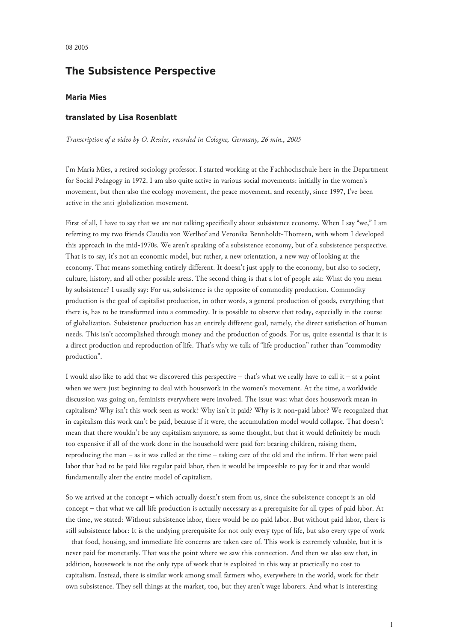## **The Subsistence Perspective**

## **Maria Mies**

## **translated by Lisa Rosenblatt**

*Transcription of a video by O. Ressler, recorded in Cologne, Germany, 26 min., 2005*

I'm Maria Mies, a retired sociology professor. I started working at the Fachhochschule here in the Department for Social Pedagogy in 1972. I am also quite active in various social movements: initially in the women's movement, but then also the ecology movement, the peace movement, and recently, since 1997, I've been active in the anti-globalization movement.

First of all, I have to say that we are not talking specifically about subsistence economy. When I say "we," I am referring to my two friends Claudia von Werlhof and Veronika Bennholdt-Thomsen, with whom I developed this approach in the mid-1970s. We aren't speaking of a subsistence economy, but of a subsistence perspective. That is to say, it's not an economic model, but rather, a new orientation, a new way of looking at the economy. That means something entirely different. It doesn't just apply to the economy, but also to society, culture, history, and all other possible areas. The second thing is that a lot of people ask: What do you mean by subsistence? I usually say: For us, subsistence is the opposite of commodity production. Commodity production is the goal of capitalist production, in other words, a general production of goods, everything that there is, has to be transformed into a commodity. It is possible to observe that today, especially in the course of globalization. Subsistence production has an entirely different goal, namely, the direct satisfaction of human needs. This isn't accomplished through money and the production of goods. For us, quite essential is that it is a direct production and reproduction of life. That's why we talk of "life production" rather than "commodity production".

I would also like to add that we discovered this perspective – that's what we really have to call it – at a point when we were just beginning to deal with housework in the women's movement. At the time, a worldwide discussion was going on, feminists everywhere were involved. The issue was: what does housework mean in capitalism? Why isn't this work seen as work? Why isn't it paid? Why is it non-paid labor? We recognized that in capitalism this work can't be paid, because if it were, the accumulation model would collapse. That doesn't mean that there wouldn't be any capitalism anymore, as some thought, but that it would definitely be much too expensive if all of the work done in the household were paid for: bearing children, raising them, reproducing the man – as it was called at the time – taking care of the old and the infirm. If that were paid labor that had to be paid like regular paid labor, then it would be impossible to pay for it and that would fundamentally alter the entire model of capitalism.

So we arrived at the concept – which actually doesn't stem from us, since the subsistence concept is an old concept – that what we call life production is actually necessary as a prerequisite for all types of paid labor. At the time, we stated: Without subsistence labor, there would be no paid labor. But without paid labor, there is still subsistence labor: It is the undying prerequisite for not only every type of life, but also every type of work – that food, housing, and immediate life concerns are taken care of. This work is extremely valuable, but it is never paid for monetarily. That was the point where we saw this connection. And then we also saw that, in addition, housework is not the only type of work that is exploited in this way at practically no cost to capitalism. Instead, there is similar work among small farmers who, everywhere in the world, work for their own subsistence. They sell things at the market, too, but they aren't wage laborers. And what is interesting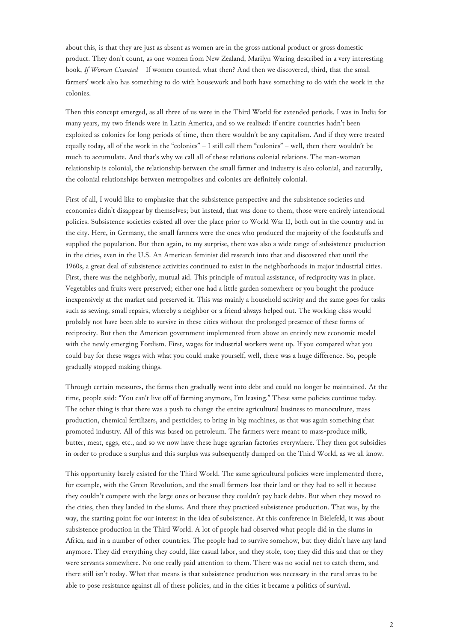about this, is that they are just as absent as women are in the gross national product or gross domestic product. They don't count, as one women from New Zealand, Marilyn Waring described in a very interesting book, *If Women Counted* – If women counted, what then? And then we discovered, third, that the small farmers' work also has something to do with housework and both have something to do with the work in the colonies.

Then this concept emerged, as all three of us were in the Third World for extended periods. I was in India for many years, my two friends were in Latin America, and so we realized: if entire countries hadn't been exploited as colonies for long periods of time, then there wouldn't be any capitalism. And if they were treated equally today, all of the work in the "colonies" – I still call them "colonies" – well, then there wouldn't be much to accumulate. And that's why we call all of these relations colonial relations. The man-woman relationship is colonial, the relationship between the small farmer and industry is also colonial, and naturally, the colonial relationships between metropolises and colonies are definitely colonial.

First of all, I would like to emphasize that the subsistence perspective and the subsistence societies and economies didn't disappear by themselves; but instead, that was done to them, those were entirely intentional policies. Subsistence societies existed all over the place prior to World War II, both out in the country and in the city. Here, in Germany, the small farmers were the ones who produced the majority of the foodstuffs and supplied the population. But then again, to my surprise, there was also a wide range of subsistence production in the cities, even in the U.S. An American feminist did research into that and discovered that until the 1960s, a great deal of subsistence activities continued to exist in the neighborhoods in major industrial cities. First, there was the neighborly, mutual aid. This principle of mutual assistance, of reciprocity was in place. Vegetables and fruits were preserved; either one had a little garden somewhere or you bought the produce inexpensively at the market and preserved it. This was mainly a household activity and the same goes for tasks such as sewing, small repairs, whereby a neighbor or a friend always helped out. The working class would probably not have been able to survive in these cities without the prolonged presence of these forms of reciprocity. But then the American government implemented from above an entirely new economic model with the newly emerging Fordism. First, wages for industrial workers went up. If you compared what you could buy for these wages with what you could make yourself, well, there was a huge difference. So, people gradually stopped making things.

Through certain measures, the farms then gradually went into debt and could no longer be maintained. At the time, people said: "You can't live off of farming anymore, I'm leaving." These same policies continue today. The other thing is that there was a push to change the entire agricultural business to monoculture, mass production, chemical fertilizers, and pesticides; to bring in big machines, as that was again something that promoted industry. All of this was based on petroleum. The farmers were meant to mass-produce milk, butter, meat, eggs, etc., and so we now have these huge agrarian factories everywhere. They then got subsidies in order to produce a surplus and this surplus was subsequently dumped on the Third World, as we all know.

This opportunity barely existed for the Third World. The same agricultural policies were implemented there, for example, with the Green Revolution, and the small farmers lost their land or they had to sell it because they couldn't compete with the large ones or because they couldn't pay back debts. But when they moved to the cities, then they landed in the slums. And there they practiced subsistence production. That was, by the way, the starting point for our interest in the idea of subsistence. At this conference in Bielefeld, it was about subsistence production in the Third World. A lot of people had observed what people did in the slums in Africa, and in a number of other countries. The people had to survive somehow, but they didn't have any land anymore. They did everything they could, like casual labor, and they stole, too; they did this and that or they were servants somewhere. No one really paid attention to them. There was no social net to catch them, and there still isn't today. What that means is that subsistence production was necessary in the rural areas to be able to pose resistance against all of these policies, and in the cities it became a politics of survival.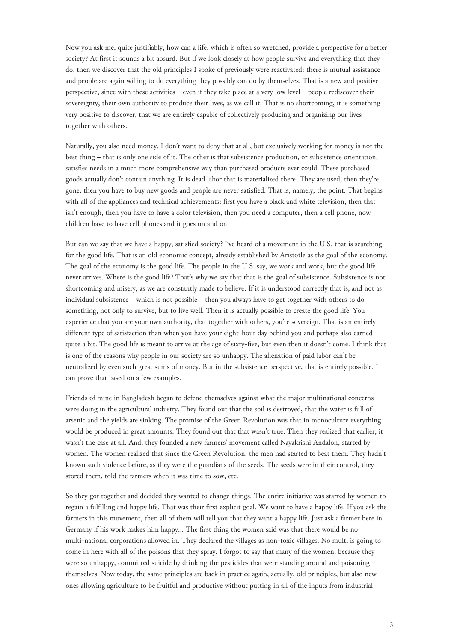Now you ask me, quite justifiably, how can a life, which is often so wretched, provide a perspective for a better society? At first it sounds a bit absurd. But if we look closely at how people survive and everything that they do, then we discover that the old principles I spoke of previously were reactivated: there is mutual assistance and people are again willing to do everything they possibly can do by themselves. That is a new and positive perspective, since with these activities – even if they take place at a very low level – people rediscover their sovereignty, their own authority to produce their lives, as we call it. That is no shortcoming, it is something very positive to discover, that we are entirely capable of collectively producing and organizing our lives together with others.

Naturally, you also need money. I don't want to deny that at all, but exclusively working for money is not the best thing – that is only one side of it. The other is that subsistence production, or subsistence orientation, satisfies needs in a much more comprehensive way than purchased products ever could. These purchased goods actually don't contain anything. It is dead labor that is materialized there. They are used, then they're gone, then you have to buy new goods and people are never satisfied. That is, namely, the point. That begins with all of the appliances and technical achievements: first you have a black and white television, then that isn't enough, then you have to have a color television, then you need a computer, then a cell phone, now children have to have cell phones and it goes on and on.

But can we say that we have a happy, satisfied society? I've heard of a movement in the U.S. that is searching for the good life. That is an old economic concept, already established by Aristotle as the goal of the economy. The goal of the economy is the good life. The people in the U.S. say, we work and work, but the good life never arrives. Where is the good life? That's why we say that that is the goal of subsistence. Subsistence is not shortcoming and misery, as we are constantly made to believe. If it is understood correctly that is, and not as individual subsistence – which is not possible – then you always have to get together with others to do something, not only to survive, but to live well. Then it is actually possible to create the good life. You experience that you are your own authority, that together with others, you're sovereign. That is an entirely different type of satisfaction than when you have your eight-hour day behind you and perhaps also earned quite a bit. The good life is meant to arrive at the age of sixty-five, but even then it doesn't come. I think that is one of the reasons why people in our society are so unhappy. The alienation of paid labor can't be neutralized by even such great sums of money. But in the subsistence perspective, that is entirely possible. I can prove that based on a few examples.

Friends of mine in Bangladesh began to defend themselves against what the major multinational concerns were doing in the agricultural industry. They found out that the soil is destroyed, that the water is full of arsenic and the yields are sinking. The promise of the Green Revolution was that in monoculture everything would be produced in great amounts. They found out that that wasn't true. Then they realized that earlier, it wasn't the case at all. And, they founded a new farmers' movement called Nayakrishi Andalon, started by women. The women realized that since the Green Revolution, the men had started to beat them. They hadn't known such violence before, as they were the guardians of the seeds. The seeds were in their control, they stored them, told the farmers when it was time to sow, etc.

So they got together and decided they wanted to change things. The entire initiative was started by women to regain a fulfilling and happy life. That was their first explicit goal. We want to have a happy life! If you ask the farmers in this movement, then all of them will tell you that they want a happy life. Just ask a farmer here in Germany if his work makes him happy… The first thing the women said was that there would be no multi-national corporations allowed in. They declared the villages as non-toxic villages. No multi is going to come in here with all of the poisons that they spray. I forgot to say that many of the women, because they were so unhappy, committed suicide by drinking the pesticides that were standing around and poisoning themselves. Now today, the same principles are back in practice again, actually, old principles, but also new ones allowing agriculture to be fruitful and productive without putting in all of the inputs from industrial